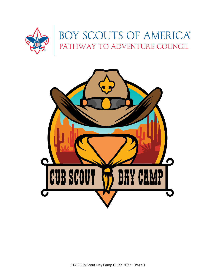

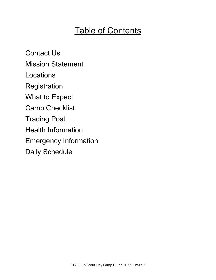# **Table of Contents**

Contact Us Mission Statement Locations **Registration** What to Expect Camp Checklist Trading Post Health Information Emergency Information Daily Schedule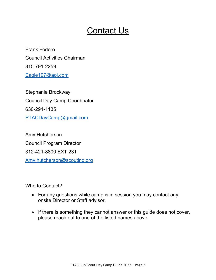# Contact Us

Frank Fodero Council Activities Chairman 815-791-2259 Eagle197@aol.com

Stephanie Brockway Council Day Camp Coordinator 630-291-1135 PTACDayCamp@gmail.com

Amy Hutcherson Council Program Director 312-421-8800 EXT 231 Amy.hutcherson@scouting.org

Who to Contact?

- For any questions while camp is in session you may contact any onsite Director or Staff advisor.
- If there is something they cannot answer or this guide does not cover, please reach out to one of the listed names above.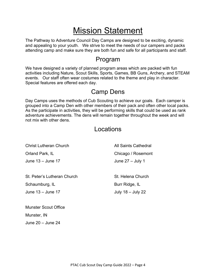# Mission Statement

The Pathway to Adventure Council Day Camps are designed to be exciting, dynamic and appealing to your youth. We strive to meet the needs of our campers and packs attending camp and make sure they are both fun and safe for all participants and staff.

### Program

We have designed a variety of planned program areas which are packed with fun activities including Nature, Scout Skills, Sports, Games, BB Guns, Archery, and STEAM events. Our staff often wear costumes related to the theme and play in character. Special features are offered each day.

### Camp Dens

Day Camps uses the methods of Cub Scouting to achieve our goals. Each camper is grouped into a Camp Den with other members of their pack and often other local packs. As the participate in activities, they will be performing skills that could be used as rank adventure achievements. The dens will remain together throughout the week and will not mix with other dens.

### Locations

| <b>Christ Lutheran Church</b> | All Saints Cathedral |
|-------------------------------|----------------------|
| Orland Park, IL               | Chicago / Rosemont   |
| June $13 -$ June 17           | June $27 -$ July 1   |
|                               |                      |
| St. Peter's Lutheran Church   | St. Helena Church    |
| Schaumburg, IL                | Burr Ridge, IL       |
| June 13 - June 17             | July $18 -$ July 22  |
|                               |                      |
| <b>Munster Scout Office</b>   |                      |

Munster, IN

June 20 – June 24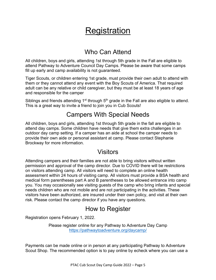# **Registration**

### Who Can Attend

All children, boys and girls, attending 1st through 5th grade in the Fall are eligible to attend Pathway to Adventure Council Day Camps. Please be aware that some camps fill up early and camp availability is not guaranteed.

Tiger Scouts, or children entering 1st grade, must provide their own adult to attend with them or they cannot attend any event with the Boy Scouts of America. That required adult can be any relative or child caregiver, but they must be at least 18 years of age and responsible for the camper

Siblings and friends attending  $1<sup>st</sup>$  through  $5<sup>th</sup>$  grade in the Fall are also eligible to attend. This is a great way to invite a friend to join you in Cub Scouts!

### Campers With Special Needs

All children, boys and girls, attending 1st through 5th grade in the fall are eligible to attend day camps. Some children have needs that give them extra challenges in an outdoor day camp setting. If a camper has an aide at school the camper needs to provide their own aide or personal assistant at camp. Please contact Stephanie Brockway for more information.

### Visitors

Attending campers and their families are not able to bring visitors without written permission and approval of the camp director. Due to COVID there will be restrictions on visitors attending camp. All visitors will need to complete an online health assessment within 24 hours of visiting camp. All visitors must provide a BSA health and medical form parentheses part A and B parentheses to be allowed entrance into camp you. You may occasionally see visiting guests of the camp who bring infants and special needs children who are not mobile and are not participating in the activities. These visitors have been authorized, are insured under their own policy, and visit at their own risk. Please contact the camp director if you have any questions.

### How to Register

Registration opens February 1, 2022.

Please register online for any Pathway to Adventure Day Camp https://pathwaytoadventure.org/daycamp/

Payments can be made online or in person at any participating Pathway to Adventure Scout Shop. The recommended option is to pay online by echeck where you can use a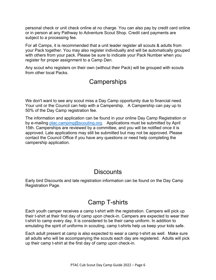personal check or unit check online at no charge. You can also pay by credit card online or in person at any Pathway to Adventure Scout Shop. Credit card payments are subject to a processing fee.

For all Camps, it is recommended that a unit leader register all scouts & adults from your Pack together. You may also register individually and will be automatically grouped with others from your pack. Please be sure to indicate your Pack Number when you register for proper assignment to a Camp Den.

Any scout who registers on their own (without their Pack) will be grouped with scouts from other local Packs.

## **Camperships**

We don't want to see any scout miss a Day Camp opportunity due to financial need. Your unit or the Council can help with a Campership. A Campership can pay up to 50% of the Day Camp registration fee.

The information and application can be found in your online Day Camp Registration or by e-mailing ptac.camping@scouting.org. Applications must be submitted by April 15th. Camperships are reviewed by a committee, and you will be notified once it is approved. Late applications may still be submitted but may not be approved. Please contact the Council Office if you have any questions or need help completing the campership application.

### **Discounts**

Early bird Discounts and late registration information can be found on the Day Camp Registration Page.

### Camp T-shirts

Each youth camper receives a camp t-shirt with the registration. Campers will pick up their t-shirt at their first day of camp upon check-in. Campers are expected to wear their t-shirt to camp every day. It is considered to be their camp uniform. In addition to emulating the spirit of uniforms in scouting, camp t-shirts help us keep your kids safe.

Each adult present at camp is also expected to wear a camp t-shirt as well. Make sure all adults who will be accompanying the scouts each day are registered. Adults will pick up their camp t-shirt at the first day of camp upon check-in.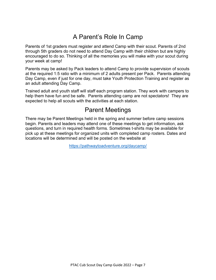# A Parent's Role In Camp

Parents of 1st graders must register and attend Camp with their scout. Parents of 2nd through 5th graders do not need to attend Day Camp with their children but are highly encouraged to do so. Thinking of all the memories you will make with your scout during your week at camp!

Parents may be asked by Pack leaders to attend Camp to provide supervision of scouts at the required 1:5 ratio with a minimum of 2 adults present per Pack. Parents attending Day Camp, even if just for one day, must take Youth Protection Training and register as an adult attending Day Camp.

Trained adult and youth staff will staff each program station. They work with campers to help them have fun and be safe. Parents attending camp are not spectators! They are expected to help all scouts with the activities at each station.

## Parent Meetings

There may be Parent Meetings held in the spring and summer before camp sessions begin. Parents and leaders may attend one of these meetings to get information, ask questions, and turn in required health forms. Sometimes t-shirts may be available for pick up at these meetings for organized units with completed camp rosters. Dates and locations will be determined and will be posted on the website at

https://pathwaytoadventure.org/daycamp/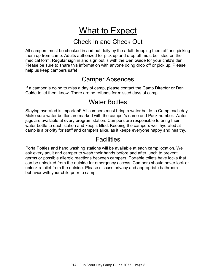# What to Expect

### Check In and Check Out

All campers must be checked in and out daily by the adult dropping them off and picking them up from camp. Adults authorized for pick up and drop off must be listed on the medical form. Regular sign in and sign out is with the Den Guide for your child's den. Please be sure to share this information with anyone doing drop off or pick up. Please help us keep campers safe!

### Camper Absences

If a camper is going to miss a day of camp, please contact the Camp Director or Den Guide to let them know. There are no refunds for missed days of camp.

### Water Bottles

Staying hydrated is important! All campers must bring a water bottle to Camp each day. Make sure water bottles are marked with the camper's name and Pack number. Water jugs are available at every program station. Campers are responsible to bring their water bottle to each station and keep it filled. Keeping the campers well hydrated at camp is a priority for staff and campers alike, as it keeps everyone happy and healthy.

### **Facilities**

Porta Potties and hand washing stations will be available at each camp location. We ask every adult and camper to wash their hands before and after lunch to prevent germs or possible allergic reactions between campers. Portable toilets have locks that can be unlocked from the outside for emergency access. Campers should never lock or unlock a toilet from the outside. Please discuss privacy and appropriate bathroom behavior with your child prior to camp.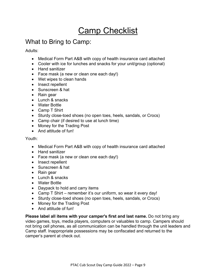# Camp Checklist

## What to Bring to Camp:

Adults:

- Medical Form Part A&B with copy of health insurance card attached
- Cooler with ice for lunches and snacks for your unit/group (optional)
- Hand sanitizer
- Face mask (a new or clean one each day!)
- Wet wipes to clean hands
- Insect repellent
- Sunscreen & hat
- Rain gear
- Lunch & snacks
- Water Bottle
- Camp T Shirt
- Sturdy close-toed shoes (no open toes, heels, sandals, or Crocs)
- Camp chair (if desired to use at lunch time)
- Money for the Trading Post
- And attitude of fun!

#### Youth:

- Medical Form Part A&B with copy of health insurance card attached
- Hand sanitizer
- Face mask (a new or clean one each day!)
- Insect repellent
- Sunscreen & hat
- Rain gear
- Lunch & snacks
- Water Bottle
- Daypack to hold and carry items
- Camp T Shirt remember it's our uniform, so wear it every day!
- Sturdy close-toed shoes (no open toes, heels, sandals, or Crocs)
- Money for the Trading Post
- And attitude of fun!

**Please label all items with your camper's first and last name.** Do not bring any video games, toys, media players, computers or valuables to camp. Campers should not bring cell phones, as all communication can be handled through the unit leaders and Camp staff. Inappropriate possessions may be confiscated and returned to the camper's parent at check out.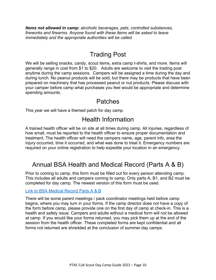*Items not allowed in camp: alcoholic beverages, pets, controlled substances, fireworks and firearms. Anyone found with these items will be asked to leave immediately and the appropriate authorities will be called.*

## Trading Post

We will be selling snacks, candy, scout items, extra camp t-shirts, and more. Items will generally range in cost from \$1 to \$20. Adults are welcome to visit the trading post anytime during the camp sessions. Campers will be assigned a time during the day and during lunch. No peanut products will be sold, but there may be products that have been prepared on machinery that has processed peanut or nut products. Please discuss with your camper before camp what purchases you feel would be appropriate and determine spending amounts.

### Patches

This year we will have a themed patch for day camp.

## Health Information

A trained health officer will be on site at all times during camp. All injuries, regardless of how small, must be reported to the health officer to ensure proper documentation and treatment. The health officer will need the campers name, age, parent info, area the injury occurred, time it occurred, and what was done to treat it. Emergency numbers are required on your online registration to help expedite your location in an emergency.

## Annual BSA Health and Medical Record (Parts A & B)

Prior to coming to camp, this form must be filled out for every person attending camp. This includes all adults and campers coming to camp. Only parts A, B1, and B2 must be completed for day camp. The newest version of this form must be used.

#### Link to BSA Medical Record Parts A & B

There will be some parent meetings / pack coordinator meetings held before camp begins, where you may turn in your forms. If the camp director does not have a copy of the form before camp, please provide one on the first day of camp at check-in. This is a health and safety issue. Campers and adults without a medical form will not be allowed at camp. If you would like your forms returned, you may pick them up at the end of the session from the health officer. These completed forms are kept confidential and all forms not returned are shredded at the conclusion of summer day camps.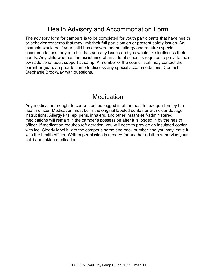## Health Advisory and Accommodation Form

The advisory form for campers is to be completed for youth participants that have health or behavior concerns that may limit their full participation or present safety issues. An example would be if your child has a severe peanut allergy and requires special accommodations, or your child has sensory issues and you would like to discuss their needs. Any child who has the assistance of an aide at school is required to provide their own additional adult support at camp. A member of the council staff may contact the parent or guardian prior to camp to discuss any special accommodations. Contact Stephanie Brockway with questions.

### **Medication**

Any medication brought to camp must be logged in at the health headquarters by the health officer. Medication must be in the original labeled container with clear dosage instructions. Allergy kits, epi pens, inhalers, and other instant self-administered medications will remain in the camper's possession after it is logged in by the health officer. If medication requires refrigeration, you will need to provide an insulated cooler with ice. Clearly label it with the camper's name and pack number and you may leave it with the health officer. Written permission is needed for another adult to supervise your child and taking medication.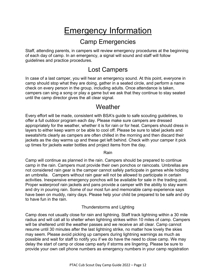# Emergency Information

### Camp Emergencies

Staff, attending parents, in campers will review emergency procedures at the beginning of each day of camp. In an emergency, a signal will sound and staff will follow guidelines and practice procedures.

### Lost Campers

In case of a last camper, you will hear an emergency sound. At this point, everyone in camp should stop what they are doing, gather in a seated circle, and perform a name check on every person in the group, including adults. Once attendance is taken, campers can sing a song or play a game but we ask that they continue to stay seated until the camp director gives the all clear signal.

### **Weather**

Every effort will be made, consistent with BSA's guide to safe scouting guidelines, to offer a full outdoor program each day. Please make sure campers are dressed appropriately for the weather, whether it is for rain or for heat. Campers should dress in layers to either keep warm or be able to cool off. Please be sure to label jackets and sweatshirts clearly as campers are often chilled in the morning and then discard their jackets as the day warms up and these get left behind. Check with your camper it pick up times for jackets water bottles and project items from the day.

Rain

Camp will continue as planned in the rain. Campers should be prepared to continue camp in the rain. Campers must provide their own ponchos or raincoats. Umbrellas are not considered rain gear is the camper cannot safely participate in games while holding an umbrella. Campers without rain gear will not be allowed to participate in certain activities. Inexpensive emergency ponchos will be available for sale in the trading post. Proper waterproof rain jackets and pans provide a camper with the ability to stay warm and dry in pouring rain. Some of our most fun and memorable camp experience says have been on muddy, rainy days. Please help your child be prepared to be safe and dry to have fun in the rain.

#### Thunderstorms and Lighting

Camp does not usually close for rain and lightning. Staff track lightning within a 30 mile radius and will call all to shelter when lightning strikes within 10 miles of camp. Campers will be sheltered until the weather passes and we receive an all clear. Camp cannot resume until 30 minutes after the last lightning strike, no matter how lovely the skies may seem. Please avoid picking up campers during lightning warnings as much as possible and wait for staff to notify you if we do have the need to close camp. We may delay the start of camp or close camp early if storms are lingering. Please be sure to provide your own cell phone numbers as emergency numbers in your camp registration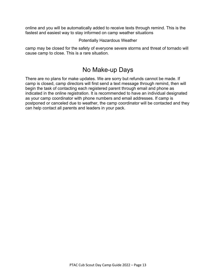online and you will be automatically added to receive texts through remind. This is the fastest and easiest way to stay informed on camp weather situations

#### Potentially Hazardous Weather

camp may be closed for the safety of everyone severe storms and threat of tornado will cause camp to close. This is a rare situation.

### No Make-up Days

There are no plans for make updates. We are sorry but refunds cannot be made. If camp is closed, camp directors will first send a text message through remind, then will begin the task of contacting each registered parent through email and phone as indicated in the online registration. It is recommended to have an individual designated as your camp coordinator with phone numbers and email addresses. If camp is postponed or canceled due to weather, the camp coordinator will be contacted and they can help contact all parents and leaders in your pack.